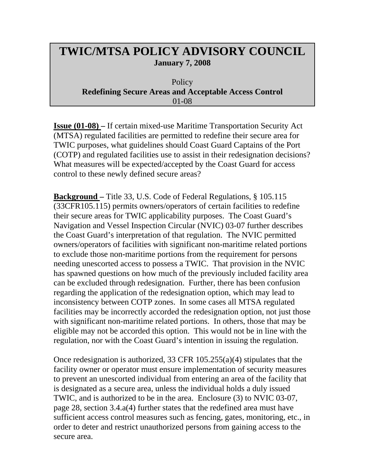## **TWIC/MTSA POLICY ADVISORY COUNCIL January 7, 2008**

**Policy Redefining Secure Areas and Acceptable Access Control** 01-08

**Issue (01-08) –** If certain mixed-use Maritime Transportation Security Act (MTSA) regulated facilities are permitted to redefine their secure area for TWIC purposes, what guidelines should Coast Guard Captains of the Port (COTP) and regulated facilities use to assist in their redesignation decisions? What measures will be expected/accepted by the Coast Guard for access control to these newly defined secure areas?

**Background –** Title 33, U.S. Code of Federal Regulations, § 105.115 (33CFR105.115) permits owners/operators of certain facilities to redefine their secure areas for TWIC applicability purposes. The Coast Guard's Navigation and Vessel Inspection Circular (NVIC) 03-07 further describes the Coast Guard's interpretation of that regulation. The NVIC permitted owners/operators of facilities with significant non-maritime related portions to exclude those non-maritime portions from the requirement for persons needing unescorted access to possess a TWIC. That provision in the NVIC has spawned questions on how much of the previously included facility area can be excluded through redesignation. Further, there has been confusion regarding the application of the redesignation option, which may lead to inconsistency between COTP zones. In some cases all MTSA regulated facilities may be incorrectly accorded the redesignation option, not just those with significant non-maritime related portions. In others, those that may be eligible may not be accorded this option. This would not be in line with the regulation, nor with the Coast Guard's intention in issuing the regulation.

Once redesignation is authorized, 33 CFR 105.255(a)(4) stipulates that the facility owner or operator must ensure implementation of security measures to prevent an unescorted individual from entering an area of the facility that is designated as a secure area, unless the individual holds a duly issued TWIC, and is authorized to be in the area. Enclosure (3) to NVIC 03-07, page 28, section 3.4.a(4) further states that the redefined area must have sufficient access control measures such as fencing, gates, monitoring, etc., in order to deter and restrict unauthorized persons from gaining access to the secure area.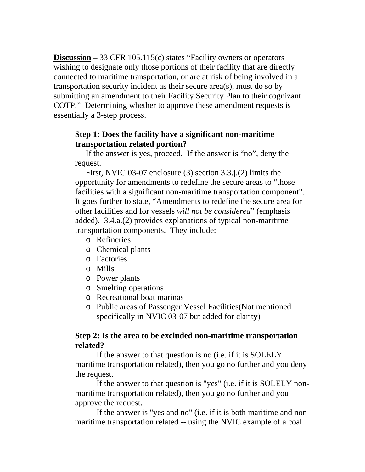**Discussion –** 33 CFR 105.115(c) states "Facility owners or operators wishing to designate only those portions of their facility that are directly connected to maritime transportation, or are at risk of being involved in a transportation security incident as their secure area(s), must do so by submitting an amendment to their Facility Security Plan to their cognizant COTP." Determining whether to approve these amendment requests is essentially a 3-step process.

## **Step 1: Does the facility have a significant non-maritime transportation related portion?**

 If the answer is yes, proceed. If the answer is "no", deny the request.

First, NVIC 03-07 enclosure (3) section 3.3.j.(2) limits the opportunity for amendments to redefine the secure areas to "those facilities with a significant non-maritime transportation component". It goes further to state, "Amendments to redefine the secure area for other facilities and for vessels *will not be considered*" (emphasis added). 3.4.a.(2) provides explanations of typical non-maritime transportation components. They include:

- o Refineries
- o Chemical plants
- o Factories
- o Mills
- o Power plants
- o Smelting operations
- o Recreational boat marinas
- o Public areas of Passenger Vessel Facilities(Not mentioned specifically in NVIC 03-07 but added for clarity)

## **Step 2: Is the area to be excluded non-maritime transportation related?**

If the answer to that question is no (i.e. if it is SOLELY maritime transportation related), then you go no further and you deny the request.

If the answer to that question is "yes" (i.e. if it is SOLELY nonmaritime transportation related), then you go no further and you approve the request.

If the answer is "yes and no" (i.e. if it is both maritime and nonmaritime transportation related -- using the NVIC example of a coal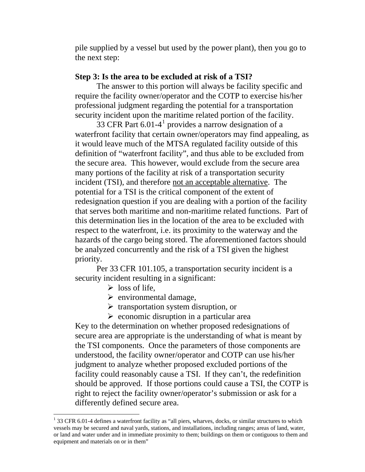pile supplied by a vessel but used by the power plant), then you go to the next step:

## **Step 3: Is the area to be excluded at risk of a TSI?**

The answer to this portion will always be facility specific and require the facility owner/operator and the COTP to exercise his/her professional judgment regarding the potential for a transportation security incident upon the maritime related portion of the facility.

33 CFR Part  $6.01-4<sup>1</sup>$  $6.01-4<sup>1</sup>$  $6.01-4<sup>1</sup>$  provides a narrow designation of a waterfront facility that certain owner/operators may find appealing, as it would leave much of the MTSA regulated facility outside of this definition of "waterfront facility", and thus able to be excluded from the secure area. This however, would exclude from the secure area many portions of the facility at risk of a transportation security incident (TSI), and therefore not an acceptable alternative. The potential for a TSI is the critical component of the extent of redesignation question if you are dealing with a portion of the facility that serves both maritime and non-maritime related functions. Part of this determination lies in the location of the area to be excluded with respect to the waterfront, i.e. its proximity to the waterway and the hazards of the cargo being stored. The aforementioned factors should be analyzed concurrently and the risk of a TSI given the highest priority.

Per 33 CFR 101.105, a transportation security incident is a security incident resulting in a significant:

 $\triangleright$  loss of life.

 $\overline{a}$ 

- $\triangleright$  environmental damage,
- $\triangleright$  transportation system disruption, or
- $\triangleright$  economic disruption in a particular area

Key to the determination on whether proposed redesignations of secure area are appropriate is the understanding of what is meant by the TSI components. Once the parameters of those components are understood, the facility owner/operator and COTP can use his/her judgment to analyze whether proposed excluded portions of the facility could reasonably cause a TSI. If they can't, the redefinition should be approved. If those portions could cause a TSI, the COTP is right to reject the facility owner/operator's submission or ask for a differently defined secure area.

<span id="page-2-0"></span> $1$  33 CFR 6.01-4 defines a waterfront facility as "all piers, wharves, docks, or similar structures to which vessels may be secured and naval yards, stations, and installations, including ranges; areas of land, water, or land and water under and in immediate proximity to them; buildings on them or contiguous to them and equipment and materials on or in them"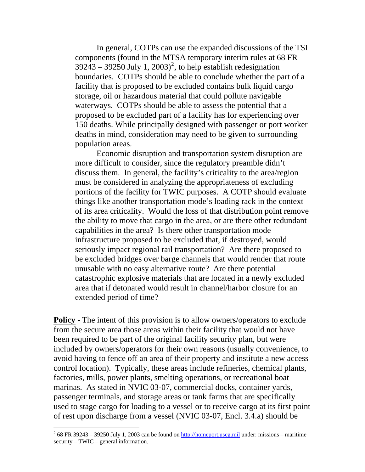In general, COTPs can use the expanded discussions of the TSI components (found in the MTSA temporary interim rules at 68 FR  $39243 - 39250$  $39243 - 39250$  $39243 - 39250$  July 1,  $2003$ <sup>2</sup>, to help establish redesignation boundaries. COTPs should be able to conclude whether the part of a facility that is proposed to be excluded contains bulk liquid cargo storage, oil or hazardous material that could pollute navigable waterways. COTPs should be able to assess the potential that a proposed to be excluded part of a facility has for experiencing over 150 deaths. While principally designed with passenger or port worker deaths in mind, consideration may need to be given to surrounding population areas.

Economic disruption and transportation system disruption are more difficult to consider, since the regulatory preamble didn't discuss them. In general, the facility's criticality to the area/region must be considered in analyzing the appropriateness of excluding portions of the facility for TWIC purposes. A COTP should evaluate things like another transportation mode's loading rack in the context of its area criticality. Would the loss of that distribution point remove the ability to move that cargo in the area, or are there other redundant capabilities in the area? Is there other transportation mode infrastructure proposed to be excluded that, if destroyed, would seriously impact regional rail transportation? Are there proposed to be excluded bridges over barge channels that would render that route unusable with no easy alternative route? Are there potential catastrophic explosive materials that are located in a newly excluded area that if detonated would result in channel/harbor closure for an extended period of time?

**Policy -** The intent of this provision is to allow owners/operators to exclude from the secure area those areas within their facility that would not have been required to be part of the original facility security plan, but were included by owners/operators for their own reasons (usually convenience, to avoid having to fence off an area of their property and institute a new access control location). Typically, these areas include refineries, chemical plants, factories, mills, power plants, smelting operations, or recreational boat marinas. As stated in NVIC 03-07, commercial docks, container yards, passenger terminals, and storage areas or tank farms that are specifically used to stage cargo for loading to a vessel or to receive cargo at its first point of rest upon discharge from a vessel (NVIC 03-07, Encl. 3.4.a) should be

 $\overline{a}$ 

<span id="page-3-0"></span> $2^{2}$  68 FR 39243 – 39250 July 1, 2003 can be found on [http://homeport.uscg.mil](http://homeport.uscg.mil/) under: missions – maritime security – TWIC – general information.